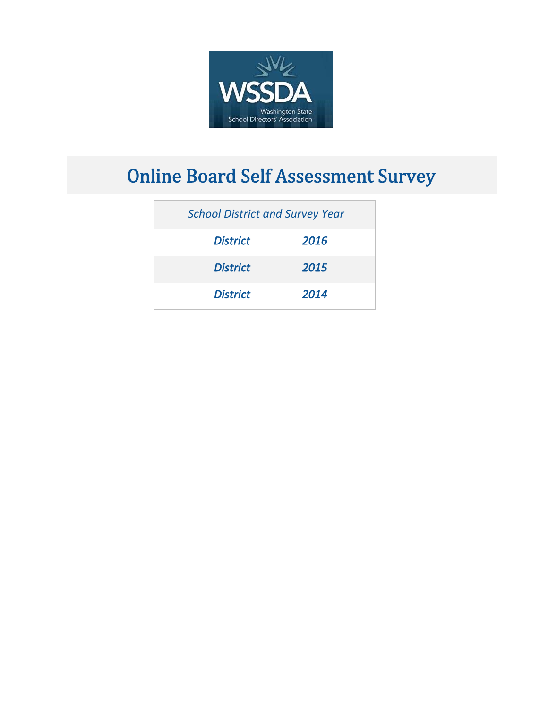

# **Online Board Self Assessment Survey**

| <b>School District and Survey Year</b> |      |
|----------------------------------------|------|
| <b>District</b>                        | 2016 |
| <b>District</b>                        | 2015 |
| <b>District</b>                        | 2014 |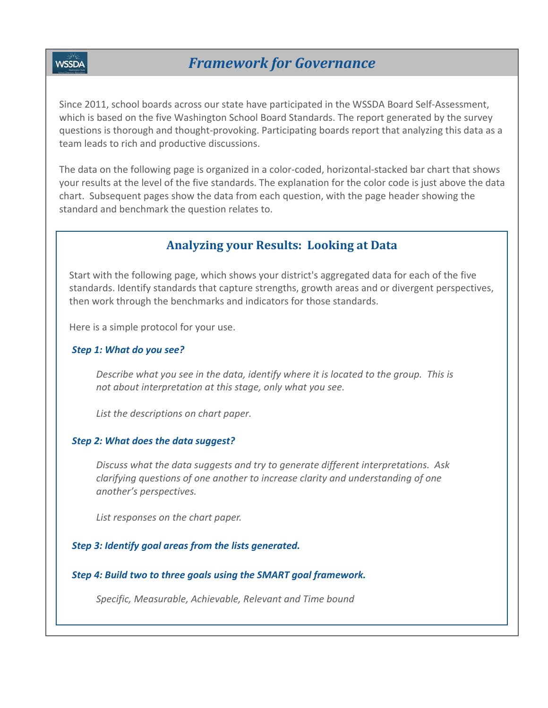**WSSDA** 

Since 2011, school boards across our state have participated in the WSSDA Board Self‐Assessment, which is based on the five Washington School Board Standards. The report generated by the survey questions is thorough and thought‐provoking. Participating boards report that analyzing this data as a team leads to rich and productive discussions.

The data on the following page is organized in a color‐coded, horizontal‐stacked bar chart that shows your results at the level of the five standards. The explanation for the color code is just above the data chart. Subsequent pages show the data from each question, with the page header showing the standard and benchmark the question relates to.

## **Analyzing your Results: Looking at Data**

Start with the following page, which shows your district's aggregated data for each of the five standards. Identify standards that capture strengths, growth areas and or divergent perspectives, then work through the benchmarks and indicators for those standards.

Here is a simple protocol for your use.

#### *Step 1: What do you see?*

*Describe what you see in the data, identify where it is located to the group. This is not about interpretation at this stage, only what you see.*

*List the descriptions on chart paper.*

#### *Step 2: What does the data suggest?*

*Discuss what the data suggests and try to generate different interpretations. Ask clarifying questions of one another to increase clarity and understanding of one another's perspectives.*

*List responses on the chart paper.*

#### *Step 3: Identify goal areas from the lists generated.*

*Step 4: Build two to three goals using the SMART goal framework.*

*Specific, Measurable, Achievable, Relevant and Time bound*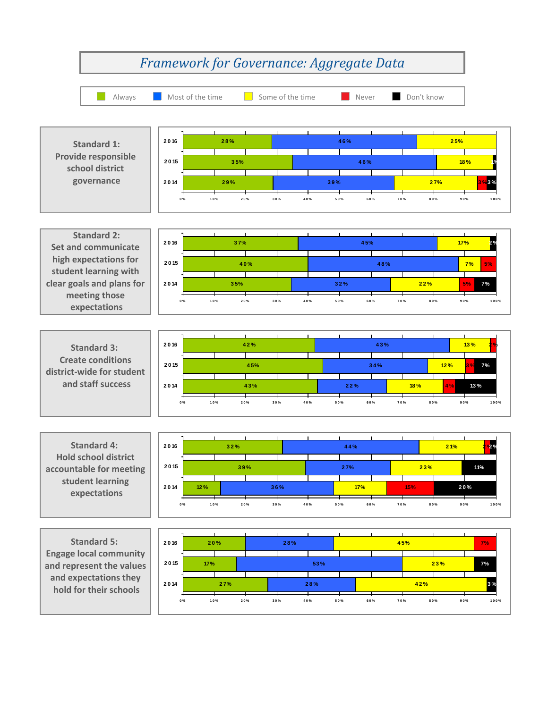